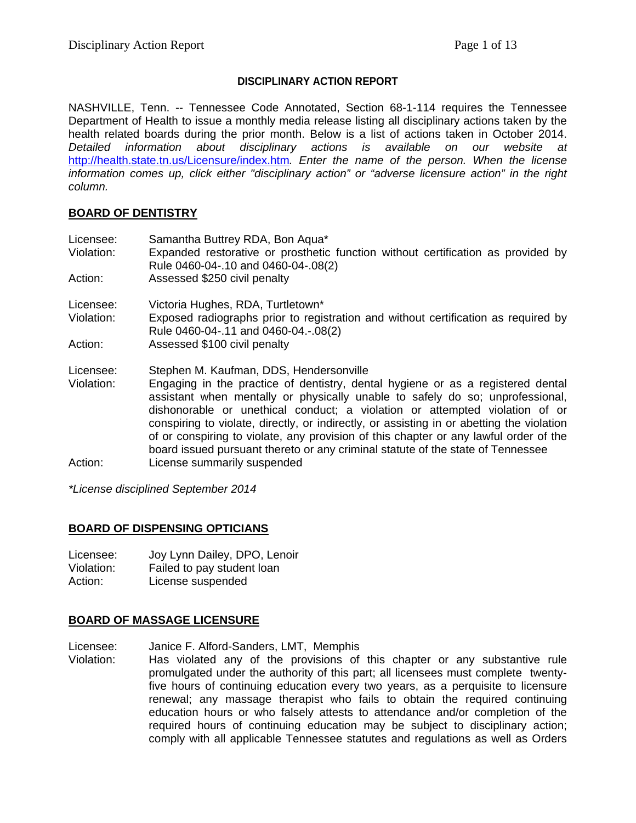## **DISCIPLINARY ACTION REPORT**

NASHVILLE, Tenn. -- Tennessee Code Annotated, Section 68-1-114 requires the Tennessee Department of Health to issue a monthly media release listing all disciplinary actions taken by the health related boards during the prior month. Below is a list of actions taken in October 2014. *Detailed information about disciplinary actions is available on our website at*  <http://health.state.tn.us/Licensure/index.htm>*. Enter the name of the person. When the license information comes up, click either "disciplinary action" or "adverse licensure action" in the right column.*

### **BOARD OF DENTISTRY**

| Licensee:<br>Violation: | Samantha Buttrey RDA, Bon Aqua*<br>Expanded restorative or prosthetic function without certification as provided by<br>Rule 0460-04-.10 and 0460-04-.08(2)                                                                                                                                                                                                                                                                                                                                                               |
|-------------------------|--------------------------------------------------------------------------------------------------------------------------------------------------------------------------------------------------------------------------------------------------------------------------------------------------------------------------------------------------------------------------------------------------------------------------------------------------------------------------------------------------------------------------|
| Action:                 | Assessed \$250 civil penalty                                                                                                                                                                                                                                                                                                                                                                                                                                                                                             |
| Licensee:               | Victoria Hughes, RDA, Turtletown*                                                                                                                                                                                                                                                                                                                                                                                                                                                                                        |
| Violation:              | Exposed radiographs prior to registration and without certification as required by<br>Rule 0460-04-.11 and 0460-04.-.08(2)                                                                                                                                                                                                                                                                                                                                                                                               |
| Action:                 | Assessed \$100 civil penalty                                                                                                                                                                                                                                                                                                                                                                                                                                                                                             |
| Licensee:               | Stephen M. Kaufman, DDS, Hendersonville                                                                                                                                                                                                                                                                                                                                                                                                                                                                                  |
| Violation:              | Engaging in the practice of dentistry, dental hygiene or as a registered dental<br>assistant when mentally or physically unable to safely do so; unprofessional,<br>dishonorable or unethical conduct; a violation or attempted violation of or<br>conspiring to violate, directly, or indirectly, or assisting in or abetting the violation<br>of or conspiring to violate, any provision of this chapter or any lawful order of the<br>board issued pursuant thereto or any criminal statute of the state of Tennessee |
| Action:                 | License summarily suspended                                                                                                                                                                                                                                                                                                                                                                                                                                                                                              |

*\*License disciplined September 2014*

# **BOARD OF DISPENSING OPTICIANS**

- Licensee: Joy Lynn Dailey, DPO, Lenoir Violation: Failed to pay student loan
- Action: License suspended

# **BOARD OF MASSAGE LICENSURE**

Licensee: Janice F. Alford-Sanders, LMT, Memphis

Violation: Has violated any of the provisions of this chapter or any substantive rule promulgated under the authority of this part; all licensees must complete twentyfive hours of continuing education every two years, as a perquisite to licensure renewal; any massage therapist who fails to obtain the required continuing education hours or who falsely attests to attendance and/or completion of the required hours of continuing education may be subject to disciplinary action; comply with all applicable Tennessee statutes and regulations as well as Orders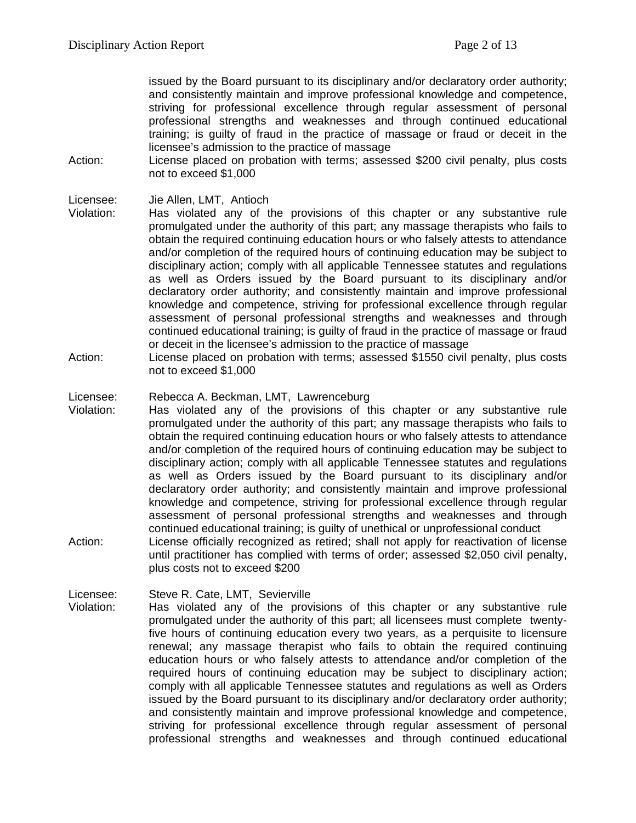issued by the Board pursuant to its disciplinary and/or declaratory order authority; and consistently maintain and improve professional knowledge and competence, striving for professional excellence through regular assessment of personal professional strengths and weaknesses and through continued educational training; is guilty of fraud in the practice of massage or fraud or deceit in the licensee's admission to the practice of massage

Action: License placed on probation with terms; assessed \$200 civil penalty, plus costs not to exceed \$1,000

#### Licensee: Jie Allen, LMT, Antioch

Violation: Has violated any of the provisions of this chapter or any substantive rule promulgated under the authority of this part; any massage therapists who fails to obtain the required continuing education hours or who falsely attests to attendance and/or completion of the required hours of continuing education may be subject to disciplinary action; comply with all applicable Tennessee statutes and regulations as well as Orders issued by the Board pursuant to its disciplinary and/or declaratory order authority; and consistently maintain and improve professional knowledge and competence, striving for professional excellence through regular assessment of personal professional strengths and weaknesses and through continued educational training; is guilty of fraud in the practice of massage or fraud or deceit in the licensee's admission to the practice of massage

Action: License placed on probation with terms; assessed \$1550 civil penalty, plus costs not to exceed \$1,000

#### Licensee: Rebecca A. Beckman, LMT, Lawrenceburg

- Violation: Has violated any of the provisions of this chapter or any substantive rule promulgated under the authority of this part; any massage therapists who fails to obtain the required continuing education hours or who falsely attests to attendance and/or completion of the required hours of continuing education may be subject to disciplinary action; comply with all applicable Tennessee statutes and regulations as well as Orders issued by the Board pursuant to its disciplinary and/or declaratory order authority; and consistently maintain and improve professional knowledge and competence, striving for professional excellence through regular assessment of personal professional strengths and weaknesses and through continued educational training; is guilty of unethical or unprofessional conduct
- Action: License officially recognized as retired; shall not apply for reactivation of license until practitioner has complied with terms of order; assessed \$2,050 civil penalty, plus costs not to exceed \$200

Licensee: Steve R. Cate, LMT, Sevierville

Violation: Has violated any of the provisions of this chapter or any substantive rule promulgated under the authority of this part; all licensees must complete twentyfive hours of continuing education every two years, as a perquisite to licensure renewal; any massage therapist who fails to obtain the required continuing education hours or who falsely attests to attendance and/or completion of the required hours of continuing education may be subject to disciplinary action; comply with all applicable Tennessee statutes and regulations as well as Orders issued by the Board pursuant to its disciplinary and/or declaratory order authority; and consistently maintain and improve professional knowledge and competence, striving for professional excellence through regular assessment of personal professional strengths and weaknesses and through continued educational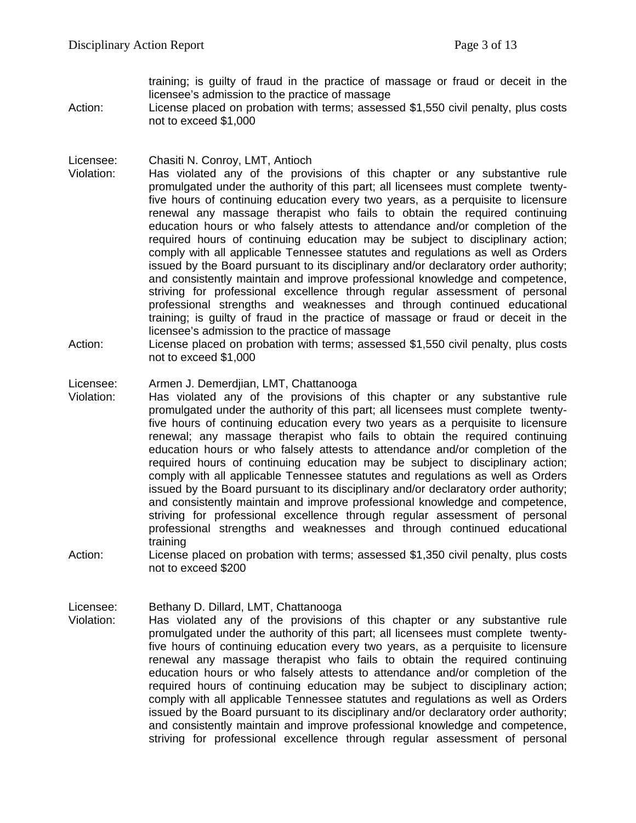training; is guilty of fraud in the practice of massage or fraud or deceit in the licensee's admission to the practice of massage

Action: License placed on probation with terms; assessed \$1,550 civil penalty, plus costs not to exceed \$1,000

Licensee: Chasiti N. Conroy, LMT, Antioch

- Violation: Has violated any of the provisions of this chapter or any substantive rule promulgated under the authority of this part; all licensees must complete twentyfive hours of continuing education every two years, as a perquisite to licensure renewal any massage therapist who fails to obtain the required continuing education hours or who falsely attests to attendance and/or completion of the required hours of continuing education may be subject to disciplinary action; comply with all applicable Tennessee statutes and regulations as well as Orders issued by the Board pursuant to its disciplinary and/or declaratory order authority; and consistently maintain and improve professional knowledge and competence, striving for professional excellence through regular assessment of personal professional strengths and weaknesses and through continued educational training; is guilty of fraud in the practice of massage or fraud or deceit in the licensee's admission to the practice of massage
- Action: License placed on probation with terms; assessed \$1,550 civil penalty, plus costs not to exceed \$1,000

Licensee: Armen J. Demerdjian, LMT, Chattanooga<br>Violation: Has violated any of the provisions of

- Has violated any of the provisions of this chapter or any substantive rule promulgated under the authority of this part; all licensees must complete twentyfive hours of continuing education every two years as a perquisite to licensure renewal; any massage therapist who fails to obtain the required continuing education hours or who falsely attests to attendance and/or completion of the required hours of continuing education may be subject to disciplinary action; comply with all applicable Tennessee statutes and regulations as well as Orders issued by the Board pursuant to its disciplinary and/or declaratory order authority; and consistently maintain and improve professional knowledge and competence, striving for professional excellence through regular assessment of personal professional strengths and weaknesses and through continued educational training
- Action: License placed on probation with terms; assessed \$1,350 civil penalty, plus costs not to exceed \$200

Licensee: Bethany D. Dillard, LMT, Chattanooga Violation: Has violated any of the provisions of this chapter or any substantive rule promulgated under the authority of this part; all licensees must complete twentyfive hours of continuing education every two years, as a perquisite to licensure renewal any massage therapist who fails to obtain the required continuing education hours or who falsely attests to attendance and/or completion of the required hours of continuing education may be subject to disciplinary action; comply with all applicable Tennessee statutes and regulations as well as Orders issued by the Board pursuant to its disciplinary and/or declaratory order authority; and consistently maintain and improve professional knowledge and competence, striving for professional excellence through regular assessment of personal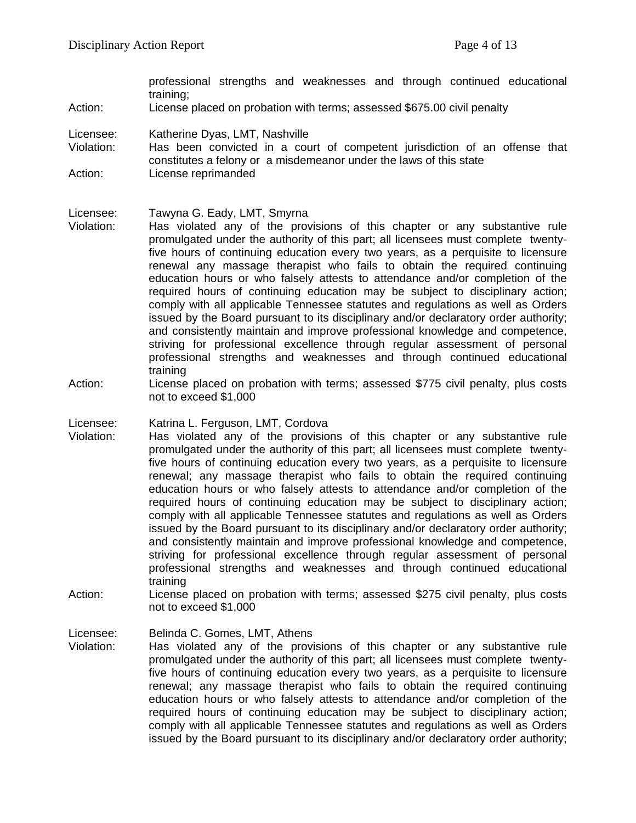professional strengths and weaknesses and through continued educational training;

Action: License placed on probation with terms; assessed \$675.00 civil penalty

Licensee: Katherine Dyas, LMT, Nashville

Violation: Has been convicted in a court of competent jurisdiction of an offense that constitutes a felony or a misdemeanor under the laws of this state Action: License reprimanded

Licensee: Tawyna G. Eady, LMT, Smyrna

- Violation: Has violated any of the provisions of this chapter or any substantive rule promulgated under the authority of this part; all licensees must complete twentyfive hours of continuing education every two years, as a perquisite to licensure renewal any massage therapist who fails to obtain the required continuing education hours or who falsely attests to attendance and/or completion of the required hours of continuing education may be subject to disciplinary action; comply with all applicable Tennessee statutes and regulations as well as Orders issued by the Board pursuant to its disciplinary and/or declaratory order authority; and consistently maintain and improve professional knowledge and competence, striving for professional excellence through regular assessment of personal professional strengths and weaknesses and through continued educational training
- Action: License placed on probation with terms; assessed \$775 civil penalty, plus costs not to exceed \$1,000

Licensee: Katrina L. Ferguson, LMT, Cordova

- Violation: Has violated any of the provisions of this chapter or any substantive rule promulgated under the authority of this part; all licensees must complete twentyfive hours of continuing education every two years, as a perquisite to licensure renewal; any massage therapist who fails to obtain the required continuing education hours or who falsely attests to attendance and/or completion of the required hours of continuing education may be subject to disciplinary action; comply with all applicable Tennessee statutes and regulations as well as Orders issued by the Board pursuant to its disciplinary and/or declaratory order authority; and consistently maintain and improve professional knowledge and competence, striving for professional excellence through regular assessment of personal professional strengths and weaknesses and through continued educational training
- Action: License placed on probation with terms; assessed \$275 civil penalty, plus costs not to exceed \$1,000

Licensee: Belinda C. Gomes, LMT, Athens

Violation: Has violated any of the provisions of this chapter or any substantive rule promulgated under the authority of this part; all licensees must complete twentyfive hours of continuing education every two years, as a perquisite to licensure renewal; any massage therapist who fails to obtain the required continuing education hours or who falsely attests to attendance and/or completion of the required hours of continuing education may be subject to disciplinary action; comply with all applicable Tennessee statutes and regulations as well as Orders issued by the Board pursuant to its disciplinary and/or declaratory order authority;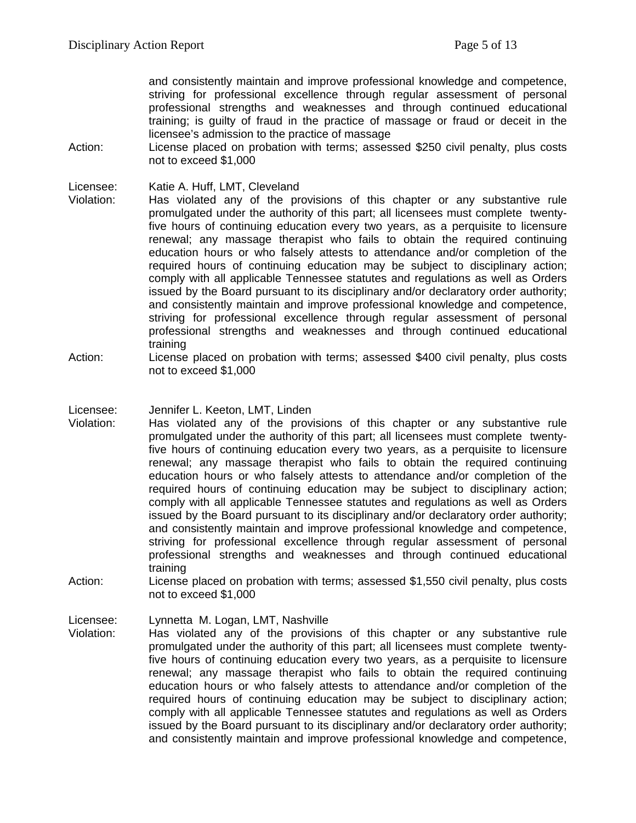and consistently maintain and improve professional knowledge and competence, striving for professional excellence through regular assessment of personal professional strengths and weaknesses and through continued educational training; is guilty of fraud in the practice of massage or fraud or deceit in the licensee's admission to the practice of massage

Action: License placed on probation with terms; assessed \$250 civil penalty, plus costs not to exceed \$1,000

Licensee: Katie A. Huff, LMT, Cleveland<br>Violation: Has violated any of the pr

Has violated any of the provisions of this chapter or any substantive rule promulgated under the authority of this part; all licensees must complete twentyfive hours of continuing education every two years, as a perquisite to licensure renewal; any massage therapist who fails to obtain the required continuing education hours or who falsely attests to attendance and/or completion of the required hours of continuing education may be subject to disciplinary action; comply with all applicable Tennessee statutes and regulations as well as Orders issued by the Board pursuant to its disciplinary and/or declaratory order authority; and consistently maintain and improve professional knowledge and competence, striving for professional excellence through regular assessment of personal professional strengths and weaknesses and through continued educational training

- Action: License placed on probation with terms; assessed \$400 civil penalty, plus costs not to exceed \$1,000
- Licensee: Jennifer L. Keeton, LMT, Linden
- Violation: Has violated any of the provisions of this chapter or any substantive rule promulgated under the authority of this part; all licensees must complete twentyfive hours of continuing education every two years, as a perquisite to licensure renewal; any massage therapist who fails to obtain the required continuing education hours or who falsely attests to attendance and/or completion of the required hours of continuing education may be subject to disciplinary action; comply with all applicable Tennessee statutes and regulations as well as Orders issued by the Board pursuant to its disciplinary and/or declaratory order authority; and consistently maintain and improve professional knowledge and competence, striving for professional excellence through regular assessment of personal professional strengths and weaknesses and through continued educational training
- Action: License placed on probation with terms; assessed \$1,550 civil penalty, plus costs not to exceed \$1,000

Licensee: Lynnetta M. Logan, LMT, Nashville

Violation: Has violated any of the provisions of this chapter or any substantive rule promulgated under the authority of this part; all licensees must complete twentyfive hours of continuing education every two years, as a perquisite to licensure renewal; any massage therapist who fails to obtain the required continuing education hours or who falsely attests to attendance and/or completion of the required hours of continuing education may be subject to disciplinary action; comply with all applicable Tennessee statutes and regulations as well as Orders issued by the Board pursuant to its disciplinary and/or declaratory order authority; and consistently maintain and improve professional knowledge and competence,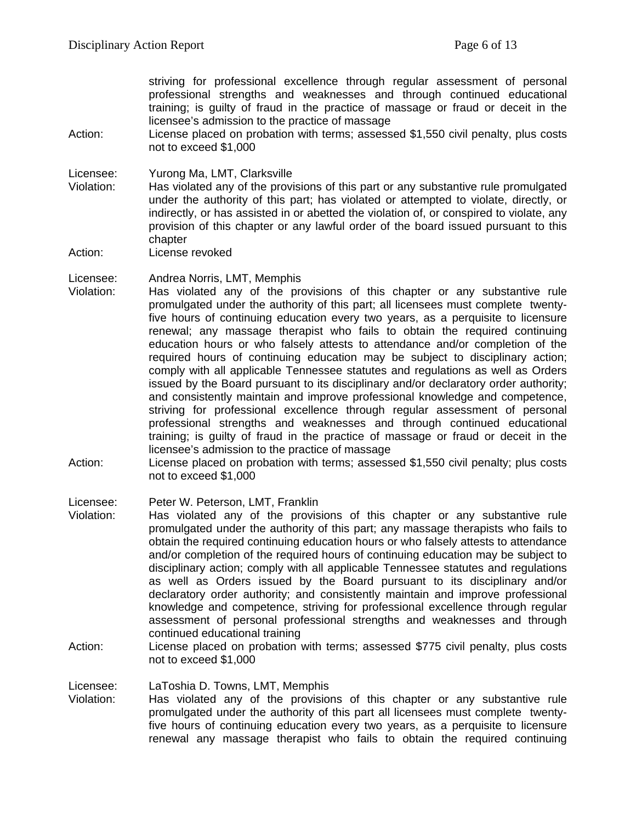striving for professional excellence through regular assessment of personal professional strengths and weaknesses and through continued educational training; is guilty of fraud in the practice of massage or fraud or deceit in the licensee's admission to the practice of massage

Action: License placed on probation with terms; assessed \$1,550 civil penalty, plus costs not to exceed \$1,000

Licensee: Yurong Ma, LMT, Clarksville

- Violation: Has violated any of the provisions of this part or any substantive rule promulgated under the authority of this part; has violated or attempted to violate, directly, or indirectly, or has assisted in or abetted the violation of, or conspired to violate, any provision of this chapter or any lawful order of the board issued pursuant to this chapter
- Action: License revoked

Licensee: Andrea Norris, LMT, Memphis<br>Violation: Has violated any of the pro-

- Has violated any of the provisions of this chapter or any substantive rule promulgated under the authority of this part; all licensees must complete twentyfive hours of continuing education every two years, as a perquisite to licensure renewal; any massage therapist who fails to obtain the required continuing education hours or who falsely attests to attendance and/or completion of the required hours of continuing education may be subject to disciplinary action; comply with all applicable Tennessee statutes and regulations as well as Orders issued by the Board pursuant to its disciplinary and/or declaratory order authority; and consistently maintain and improve professional knowledge and competence, striving for professional excellence through regular assessment of personal professional strengths and weaknesses and through continued educational training; is guilty of fraud in the practice of massage or fraud or deceit in the licensee's admission to the practice of massage
- Action: License placed on probation with terms; assessed \$1,550 civil penalty; plus costs not to exceed \$1,000

Licensee: Peter W. Peterson, LMT, Franklin

- Violation: Has violated any of the provisions of this chapter or any substantive rule promulgated under the authority of this part; any massage therapists who fails to obtain the required continuing education hours or who falsely attests to attendance and/or completion of the required hours of continuing education may be subject to disciplinary action; comply with all applicable Tennessee statutes and regulations as well as Orders issued by the Board pursuant to its disciplinary and/or declaratory order authority; and consistently maintain and improve professional knowledge and competence, striving for professional excellence through regular assessment of personal professional strengths and weaknesses and through continued educational training
- Action: License placed on probation with terms; assessed \$775 civil penalty, plus costs not to exceed \$1,000

Licensee: LaToshia D. Towns, LMT, Memphis<br>Violation: Has violated any of the provision Has violated any of the provisions of this chapter or any substantive rule promulgated under the authority of this part all licensees must complete twentyfive hours of continuing education every two years, as a perquisite to licensure renewal any massage therapist who fails to obtain the required continuing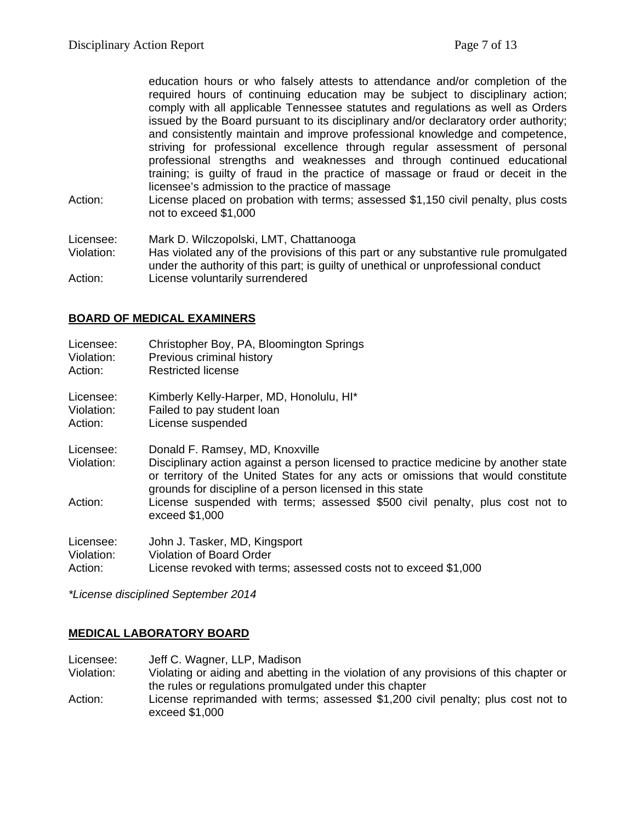education hours or who falsely attests to attendance and/or completion of the required hours of continuing education may be subject to disciplinary action; comply with all applicable Tennessee statutes and regulations as well as Orders issued by the Board pursuant to its disciplinary and/or declaratory order authority; and consistently maintain and improve professional knowledge and competence, striving for professional excellence through regular assessment of personal professional strengths and weaknesses and through continued educational training; is guilty of fraud in the practice of massage or fraud or deceit in the licensee's admission to the practice of massage

Action: License placed on probation with terms; assessed \$1,150 civil penalty, plus costs not to exceed \$1,000

Licensee: Mark D. Wilczopolski, LMT, Chattanooga Has violated any of the provisions of this part or any substantive rule promulgated under the authority of this part; is guilty of unethical or unprofessional conduct Action: License voluntarily surrendered

# **BOARD OF MEDICAL EXAMINERS**

| Licensee:               | Christopher Boy, PA, Bloomington Springs                                                                                                                                                                                                                                 |
|-------------------------|--------------------------------------------------------------------------------------------------------------------------------------------------------------------------------------------------------------------------------------------------------------------------|
| Violation:              | Previous criminal history                                                                                                                                                                                                                                                |
| Action:                 | Restricted license                                                                                                                                                                                                                                                       |
| Licensee:               | Kimberly Kelly-Harper, MD, Honolulu, HI*                                                                                                                                                                                                                                 |
| Violation:              | Failed to pay student loan                                                                                                                                                                                                                                               |
| Action:                 | License suspended                                                                                                                                                                                                                                                        |
| Licensee:<br>Violation: | Donald F. Ramsey, MD, Knoxville<br>Disciplinary action against a person licensed to practice medicine by another state<br>or territory of the United States for any acts or omissions that would constitute<br>grounds for discipline of a person licensed in this state |
| Action:                 | License suspended with terms; assessed \$500 civil penalty, plus cost not to<br>exceed \$1,000                                                                                                                                                                           |
| Licensee:               | John J. Tasker, MD, Kingsport                                                                                                                                                                                                                                            |
| Violation:              | Violation of Board Order                                                                                                                                                                                                                                                 |
| Action:                 | License revoked with terms; assessed costs not to exceed \$1,000                                                                                                                                                                                                         |

*\*License disciplined September 2014*

### **MEDICAL LABORATORY BOARD**

Licensee: Jeff C. Wagner, LLP, Madison<br>Violation: Violating or aiding and abetting Violating or aiding and abetting in the violation of any provisions of this chapter or the rules or regulations promulgated under this chapter Action: License reprimanded with terms; assessed \$1,200 civil penalty; plus cost not to exceed \$1,000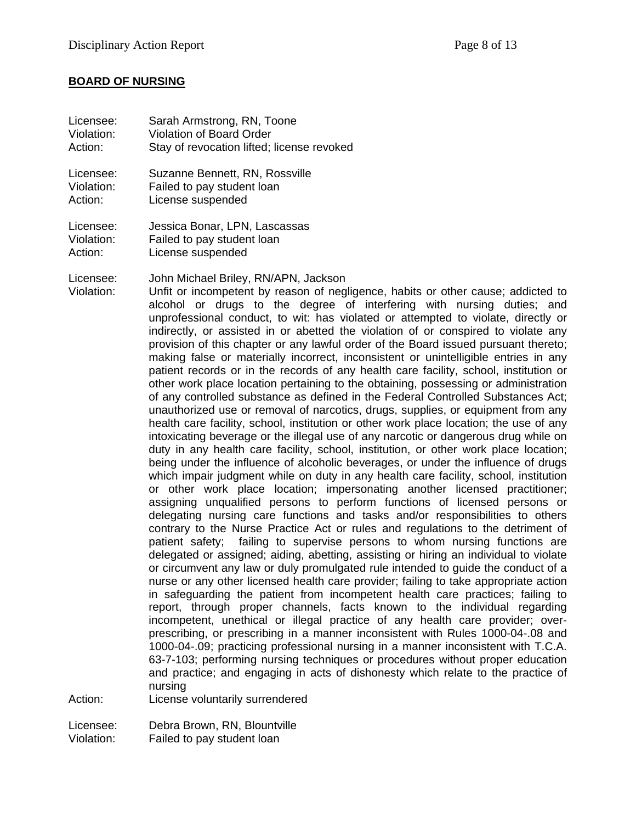#### **BOARD OF NURSING**

| Licensee:                          | Sarah Armstrong, RN, Toone                                                                                                                                                                                                                                                                                                                                                                                                                                                                                                                                                                                                                                                                                                                                                                                                                                                                                                                                                                                                                                                                                                                                                                                                                                                                                                                                                                                                                                                                                                                                                                                                                                                                                                                                                                                                                                                                                                                                                                                                                                                                                                                                                                                                                                                                                                                                                                                                                                                                                                                                                                                                                                                                                 |
|------------------------------------|------------------------------------------------------------------------------------------------------------------------------------------------------------------------------------------------------------------------------------------------------------------------------------------------------------------------------------------------------------------------------------------------------------------------------------------------------------------------------------------------------------------------------------------------------------------------------------------------------------------------------------------------------------------------------------------------------------------------------------------------------------------------------------------------------------------------------------------------------------------------------------------------------------------------------------------------------------------------------------------------------------------------------------------------------------------------------------------------------------------------------------------------------------------------------------------------------------------------------------------------------------------------------------------------------------------------------------------------------------------------------------------------------------------------------------------------------------------------------------------------------------------------------------------------------------------------------------------------------------------------------------------------------------------------------------------------------------------------------------------------------------------------------------------------------------------------------------------------------------------------------------------------------------------------------------------------------------------------------------------------------------------------------------------------------------------------------------------------------------------------------------------------------------------------------------------------------------------------------------------------------------------------------------------------------------------------------------------------------------------------------------------------------------------------------------------------------------------------------------------------------------------------------------------------------------------------------------------------------------------------------------------------------------------------------------------------------------|
| Violation:                         | <b>Violation of Board Order</b>                                                                                                                                                                                                                                                                                                                                                                                                                                                                                                                                                                                                                                                                                                                                                                                                                                                                                                                                                                                                                                                                                                                                                                                                                                                                                                                                                                                                                                                                                                                                                                                                                                                                                                                                                                                                                                                                                                                                                                                                                                                                                                                                                                                                                                                                                                                                                                                                                                                                                                                                                                                                                                                                            |
| Action:                            | Stay of revocation lifted; license revoked                                                                                                                                                                                                                                                                                                                                                                                                                                                                                                                                                                                                                                                                                                                                                                                                                                                                                                                                                                                                                                                                                                                                                                                                                                                                                                                                                                                                                                                                                                                                                                                                                                                                                                                                                                                                                                                                                                                                                                                                                                                                                                                                                                                                                                                                                                                                                                                                                                                                                                                                                                                                                                                                 |
| Licensee:                          | Suzanne Bennett, RN, Rossville                                                                                                                                                                                                                                                                                                                                                                                                                                                                                                                                                                                                                                                                                                                                                                                                                                                                                                                                                                                                                                                                                                                                                                                                                                                                                                                                                                                                                                                                                                                                                                                                                                                                                                                                                                                                                                                                                                                                                                                                                                                                                                                                                                                                                                                                                                                                                                                                                                                                                                                                                                                                                                                                             |
| Violation:                         | Failed to pay student loan                                                                                                                                                                                                                                                                                                                                                                                                                                                                                                                                                                                                                                                                                                                                                                                                                                                                                                                                                                                                                                                                                                                                                                                                                                                                                                                                                                                                                                                                                                                                                                                                                                                                                                                                                                                                                                                                                                                                                                                                                                                                                                                                                                                                                                                                                                                                                                                                                                                                                                                                                                                                                                                                                 |
| Action:                            | License suspended                                                                                                                                                                                                                                                                                                                                                                                                                                                                                                                                                                                                                                                                                                                                                                                                                                                                                                                                                                                                                                                                                                                                                                                                                                                                                                                                                                                                                                                                                                                                                                                                                                                                                                                                                                                                                                                                                                                                                                                                                                                                                                                                                                                                                                                                                                                                                                                                                                                                                                                                                                                                                                                                                          |
| Licensee:                          | Jessica Bonar, LPN, Lascassas                                                                                                                                                                                                                                                                                                                                                                                                                                                                                                                                                                                                                                                                                                                                                                                                                                                                                                                                                                                                                                                                                                                                                                                                                                                                                                                                                                                                                                                                                                                                                                                                                                                                                                                                                                                                                                                                                                                                                                                                                                                                                                                                                                                                                                                                                                                                                                                                                                                                                                                                                                                                                                                                              |
| Violation:                         | Failed to pay student loan                                                                                                                                                                                                                                                                                                                                                                                                                                                                                                                                                                                                                                                                                                                                                                                                                                                                                                                                                                                                                                                                                                                                                                                                                                                                                                                                                                                                                                                                                                                                                                                                                                                                                                                                                                                                                                                                                                                                                                                                                                                                                                                                                                                                                                                                                                                                                                                                                                                                                                                                                                                                                                                                                 |
| Action:                            | License suspended                                                                                                                                                                                                                                                                                                                                                                                                                                                                                                                                                                                                                                                                                                                                                                                                                                                                                                                                                                                                                                                                                                                                                                                                                                                                                                                                                                                                                                                                                                                                                                                                                                                                                                                                                                                                                                                                                                                                                                                                                                                                                                                                                                                                                                                                                                                                                                                                                                                                                                                                                                                                                                                                                          |
| Licensee:<br>Violation:<br>Action: | John Michael Briley, RN/APN, Jackson<br>Unfit or incompetent by reason of negligence, habits or other cause; addicted to<br>alcohol or drugs to the degree of interfering with nursing duties; and<br>unprofessional conduct, to wit: has violated or attempted to violate, directly or<br>indirectly, or assisted in or abetted the violation of or conspired to violate any<br>provision of this chapter or any lawful order of the Board issued pursuant thereto;<br>making false or materially incorrect, inconsistent or unintelligible entries in any<br>patient records or in the records of any health care facility, school, institution or<br>other work place location pertaining to the obtaining, possessing or administration<br>of any controlled substance as defined in the Federal Controlled Substances Act;<br>unauthorized use or removal of narcotics, drugs, supplies, or equipment from any<br>health care facility, school, institution or other work place location; the use of any<br>intoxicating beverage or the illegal use of any narcotic or dangerous drug while on<br>duty in any health care facility, school, institution, or other work place location;<br>being under the influence of alcoholic beverages, or under the influence of drugs<br>which impair judgment while on duty in any health care facility, school, institution<br>or other work place location; impersonating another licensed practitioner;<br>assigning unqualified persons to perform functions of licensed persons or<br>delegating nursing care functions and tasks and/or responsibilities to others<br>contrary to the Nurse Practice Act or rules and regulations to the detriment of<br>failing to supervise persons to whom nursing functions are<br>patient safety;<br>delegated or assigned; aiding, abetting, assisting or hiring an individual to violate<br>or circumvent any law or duly promulgated rule intended to guide the conduct of a<br>nurse or any other licensed health care provider; failing to take appropriate action<br>in safeguarding the patient from incompetent health care practices; failing to<br>report, through proper channels, facts known to the individual regarding<br>incompetent, unethical or illegal practice of any health care provider; over-<br>prescribing, or prescribing in a manner inconsistent with Rules 1000-04-.08 and<br>1000-04-.09; practicing professional nursing in a manner inconsistent with T.C.A.<br>63-7-103; performing nursing techniques or procedures without proper education<br>and practice; and engaging in acts of dishonesty which relate to the practice of<br>nursing<br>License voluntarily surrendered |
| Licensee:                          | Debra Brown, RN, Blountville                                                                                                                                                                                                                                                                                                                                                                                                                                                                                                                                                                                                                                                                                                                                                                                                                                                                                                                                                                                                                                                                                                                                                                                                                                                                                                                                                                                                                                                                                                                                                                                                                                                                                                                                                                                                                                                                                                                                                                                                                                                                                                                                                                                                                                                                                                                                                                                                                                                                                                                                                                                                                                                                               |

Violation: Failed to pay student loan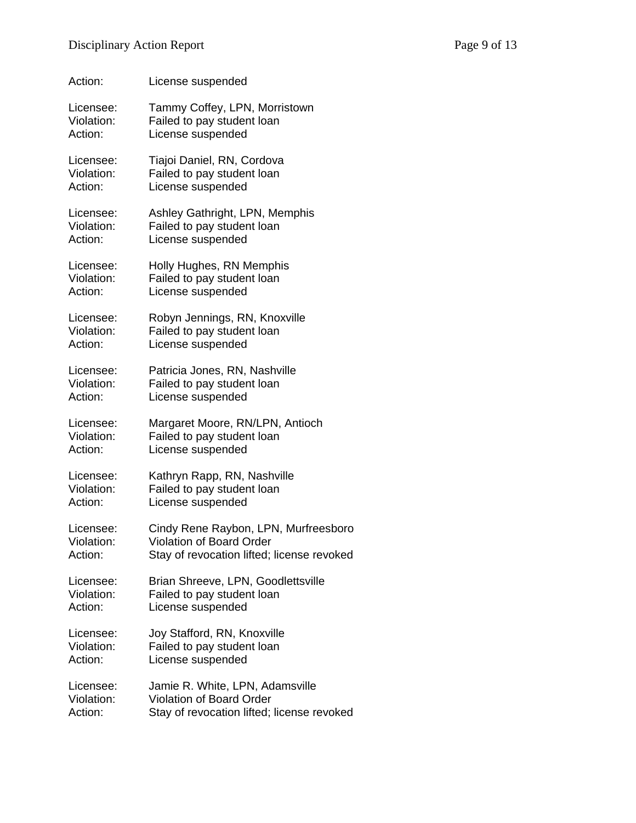| Action:    | License suspended                          |
|------------|--------------------------------------------|
| Licensee:  | Tammy Coffey, LPN, Morristown              |
| Violation: | Failed to pay student loan                 |
| Action:    | License suspended                          |
| Licensee:  | Tiajoi Daniel, RN, Cordova                 |
| Violation: | Failed to pay student loan                 |
| Action:    | License suspended                          |
| Licensee:  | Ashley Gathright, LPN, Memphis             |
| Violation: | Failed to pay student loan                 |
| Action:    | License suspended                          |
| Licensee:  | Holly Hughes, RN Memphis                   |
| Violation: | Failed to pay student loan                 |
| Action:    | License suspended                          |
| Licensee:  | Robyn Jennings, RN, Knoxville              |
| Violation: | Failed to pay student loan                 |
| Action:    | License suspended                          |
| Licensee:  | Patricia Jones, RN, Nashville              |
| Violation: | Failed to pay student loan                 |
| Action:    | License suspended                          |
| Licensee:  | Margaret Moore, RN/LPN, Antioch            |
| Violation: | Failed to pay student loan                 |
| Action:    | License suspended                          |
| Licensee:  | Kathryn Rapp, RN, Nashville                |
| Violation: | Failed to pay student loan                 |
| Action:    | License suspended                          |
| Licensee:  | Cindy Rene Raybon, LPN, Murfreesboro       |
| Violation: | Violation of Board Order                   |
| Action:    | Stay of revocation lifted; license revoked |
| Licensee:  | Brian Shreeve, LPN, Goodlettsville         |
| Violation: | Failed to pay student loan                 |
| Action:    | License suspended                          |
| Licensee:  | Joy Stafford, RN, Knoxville                |
| Violation: | Failed to pay student loan                 |
| Action:    | License suspended                          |
| Licensee:  | Jamie R. White, LPN, Adamsville            |
| Violation: | Violation of Board Order                   |
| Action:    | Stay of revocation lifted; license revoked |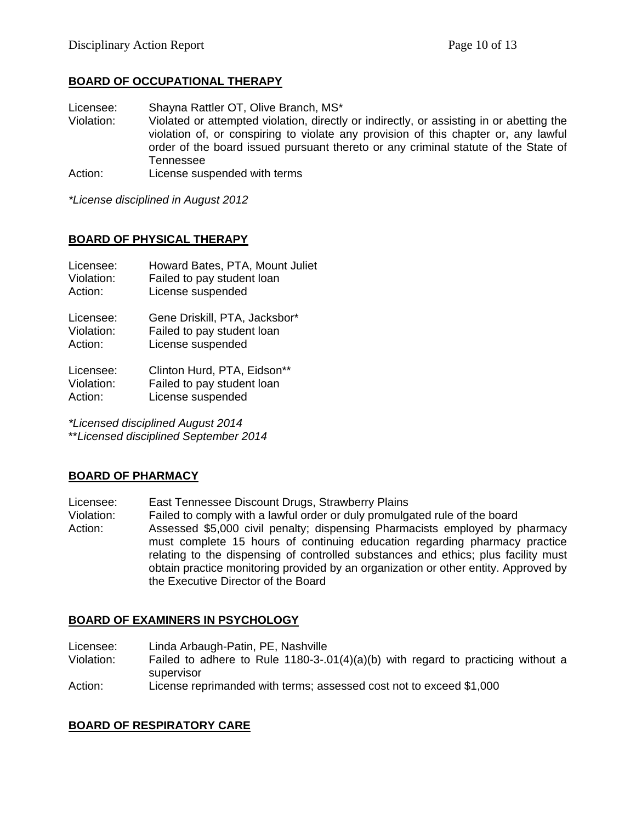## **BOARD OF OCCUPATIONAL THERAPY**

Licensee: Shayna Rattler OT, Olive Branch, MS\*<br>Violation: Violated or attempted violation, directly

Violated or attempted violation, directly or indirectly, or assisting in or abetting the violation of, or conspiring to violate any provision of this chapter or, any lawful order of the board issued pursuant thereto or any criminal statute of the State of Tennessee

Action: License suspended with terms

*\*License disciplined in August 2012*

### **BOARD OF PHYSICAL THERAPY**

| Licensee:  | Howard Bates, PTA, Mount Juliet |
|------------|---------------------------------|
| Violation: | Failed to pay student loan      |
| Action:    | License suspended               |
| Licensee:  | Gene Driskill, PTA, Jacksbor*   |
| Violation: | Failed to pay student loan      |
| Action:    | License suspended               |
| Licensee:  | Clinton Hurd, PTA, Eidson**     |
| Violation: | Failed to pay student loan      |
| Action:    | License suspended               |

*\*Licensed disciplined August 2014* \*\**Licensed disciplined September 2014*

### **BOARD OF PHARMACY**

Licensee: East Tennessee Discount Drugs, Strawberry Plains

Violation: Failed to comply with a lawful order or duly promulgated rule of the board Action: Assessed \$5,000 civil penalty; dispensing Pharmacists employed by pharmacy must complete 15 hours of continuing education regarding pharmacy practice relating to the dispensing of controlled substances and ethics; plus facility must obtain practice monitoring provided by an organization or other entity. Approved by the Executive Director of the Board

### **BOARD OF EXAMINERS IN PSYCHOLOGY**

- Licensee: Linda Arbaugh-Patin, PE, Nashville
- Violation: Failed to adhere to Rule 1180-3-.01(4)(a)(b) with regard to practicing without a supervisor

Action: License reprimanded with terms; assessed cost not to exceed \$1,000

### **BOARD OF RESPIRATORY CARE**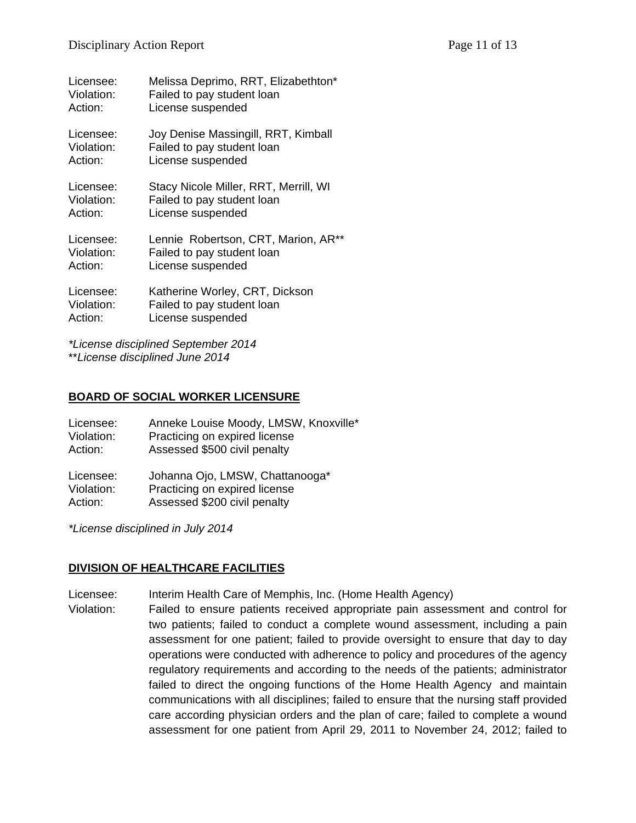| Licensee:  | Melissa Deprimo, RRT, Elizabethton*   |
|------------|---------------------------------------|
| Violation: | Failed to pay student loan            |
| Action:    | License suspended                     |
| Licensee:  | Joy Denise Massingill, RRT, Kimball   |
| Violation: | Failed to pay student loan            |
| Action:    | License suspended                     |
| Licensee:  | Stacy Nicole Miller, RRT, Merrill, WI |
| Violation: | Failed to pay student loan            |
| Action:    | License suspended                     |
| Licensee:  | Lennie Robertson, CRT, Marion, AR**   |
| Violation: | Failed to pay student loan            |
| Action:    | License suspended                     |
| Licensee:  | Katherine Worley, CRT, Dickson        |
| Violation: | Failed to pay student loan            |
| Action:    | License suspended                     |

*\*License disciplined September 2014* \*\**License disciplined June 2014*

### **BOARD OF SOCIAL WORKER LICENSURE**

| Licensee:  | Anneke Louise Moody, LMSW, Knoxville* |
|------------|---------------------------------------|
| Violation: | Practicing on expired license         |
| Action:    | Assessed \$500 civil penalty          |
| Licensee:  | Johanna Ojo, LMSW, Chattanooga*       |
| Violation: | Practicing on expired license         |
| Action:    | Assessed \$200 civil penalty          |

*\*License disciplined in July 2014*

# **DIVISION OF HEALTHCARE FACILITIES**

Licensee: Interim Health Care of Memphis, Inc. (Home Health Agency)

Violation: Failed to ensure patients received appropriate pain assessment and control for two patients; failed to conduct a complete wound assessment, including a pain assessment for one patient; failed to provide oversight to ensure that day to day operations were conducted with adherence to policy and procedures of the agency regulatory requirements and according to the needs of the patients; administrator failed to direct the ongoing functions of the Home Health Agency and maintain communications with all disciplines; failed to ensure that the nursing staff provided care according physician orders and the plan of care; failed to complete a wound assessment for one patient from April 29, 2011 to November 24, 2012; failed to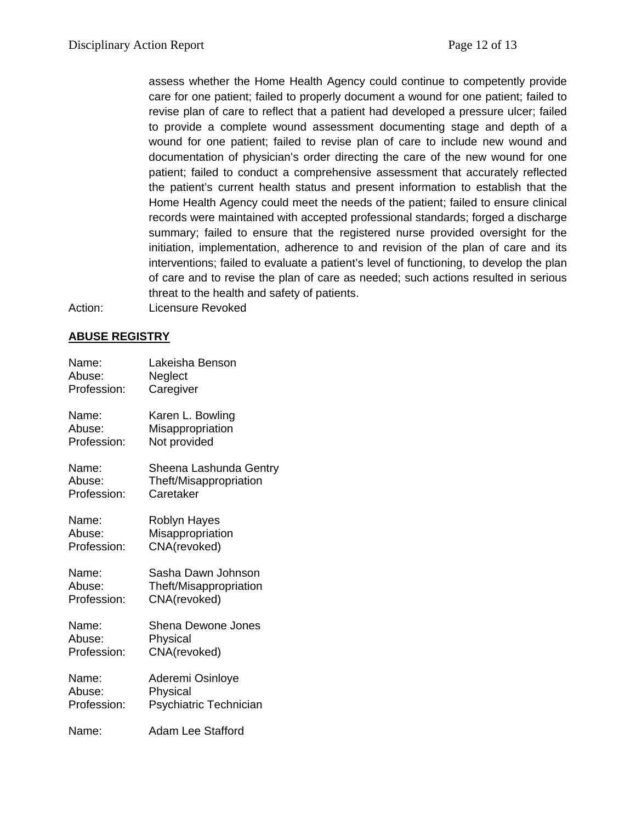assess whether the Home Health Agency could continue to competently provide care for one patient; failed to properly document a wound for one patient; failed to revise plan of care to reflect that a patient had developed a pressure ulcer; failed to provide a complete wound assessment documenting stage and depth of a wound for one patient; failed to revise plan of care to include new wound and documentation of physician's order directing the care of the new wound for one patient; failed to conduct a comprehensive assessment that accurately reflected the patient's current health status and present information to establish that the Home Health Agency could meet the needs of the patient; failed to ensure clinical records were maintained with accepted professional standards; forged a discharge summary; failed to ensure that the registered nurse provided oversight for the initiation, implementation, adherence to and revision of the plan of care and its interventions; failed to evaluate a patient's level of functioning, to develop the plan of care and to revise the plan of care as needed; such actions resulted in serious threat to the health and safety of patients.

Action: Licensure Revoked

### **ABUSE REGISTRY**

| Name:       | Lakeisha Benson           |
|-------------|---------------------------|
| Abuse:      | Neglect                   |
| Profession: | Caregiver                 |
| Name:       | Karen L. Bowling          |
| Abuse:      | Misappropriation          |
| Profession: | Not provided              |
| Name:       | Sheena Lashunda Gentry    |
| Abuse:      | Theft/Misappropriation    |
| Profession: | Caretaker                 |
| Name:       | Roblyn Hayes              |
| Abuse:      | Misappropriation          |
| Profession: | CNA(revoked)              |
| Name:       | Sasha Dawn Johnson        |
| Abuse:      | Theft/Misappropriation    |
| Profession: | CNA(revoked)              |
| Name:       | <b>Shena Dewone Jones</b> |
| Abuse:      | Physical                  |
| Profession: | CNA(revoked)              |
| Name:       | Aderemi Osinloye          |
| Abuse:      | Physical                  |
| Profession: | Psychiatric Technician    |
| Name:       | Adam Lee Stafford         |